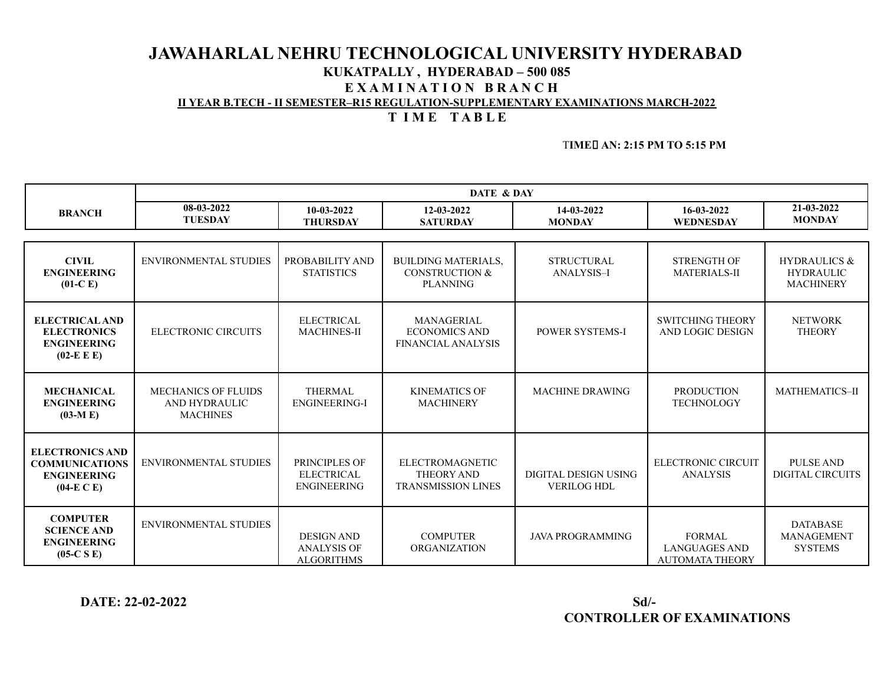# **JAWAHARLAL NEHRU TECHNOLOGICAL UNIVERSITY HYDERABAD KUKATPALLY , HYDERABAD – 500 085 E X A M I N A T I O N B R A N C H II YEAR B.TECH - II SEMESTER–R15 REGULATION-SUPPLEMENTARY EXAMINATIONS MARCH-2022 T I M E T A B L E**

## T**IME AN: 2:15 PM TO 5:15 PM**

|                                                                                         | DATE & DAY                                                     |                                                              |                                                                            |                                            |                                                                 |                                                                 |
|-----------------------------------------------------------------------------------------|----------------------------------------------------------------|--------------------------------------------------------------|----------------------------------------------------------------------------|--------------------------------------------|-----------------------------------------------------------------|-----------------------------------------------------------------|
| 08-03-2022<br>10-03-2022<br><b>BRANCH</b><br><b>TUESDAY</b><br><b>THURSDAY</b>          |                                                                | 12-03-2022<br><b>SATURDAY</b>                                | 14-03-2022<br><b>MONDAY</b>                                                | 16-03-2022<br>WEDNESDAY                    | 21-03-2022<br><b>MONDAY</b>                                     |                                                                 |
|                                                                                         |                                                                |                                                              |                                                                            |                                            |                                                                 |                                                                 |
| <b>CIVIL</b><br><b>ENGINEERING</b><br>$(01-C)$                                          | <b>ENVIRONMENTAL STUDIES</b>                                   | PROBABILITY AND<br><b>STATISTICS</b>                         | <b>BUILDING MATERIALS,</b><br><b>CONSTRUCTION &amp;</b><br><b>PLANNING</b> | <b>STRUCTURAL</b><br><b>ANALYSIS-I</b>     | <b>STRENGTH OF</b><br><b>MATERIALS-II</b>                       | <b>HYDRAULICS &amp;</b><br><b>HYDRAULIC</b><br><b>MACHINERY</b> |
| <b>ELECTRICAL AND</b><br><b>ELECTRONICS</b><br><b>ENGINEERING</b><br>$(02-E E)$         | ELECTRONIC CIRCUITS                                            | <b>ELECTRICAL</b><br><b>MACHINES-II</b>                      | MANAGERIAL<br><b>ECONOMICS AND</b><br><b>FINANCIAL ANALYSIS</b>            | <b>POWER SYSTEMS-I</b>                     | <b>SWITCHING THEORY</b><br>AND LOGIC DESIGN                     | <b>NETWORK</b><br><b>THEORY</b>                                 |
| <b>MECHANICAL</b><br><b>ENGINEERING</b><br>$(03-M E)$                                   | <b>MECHANICS OF FLUIDS</b><br>AND HYDRAULIC<br><b>MACHINES</b> | <b>THERMAL</b><br><b>ENGINEERING-I</b>                       | <b>KINEMATICS OF</b><br><b>MACHINERY</b>                                   | <b>MACHINE DRAWING</b>                     | <b>PRODUCTION</b><br><b>TECHNOLOGY</b>                          | MATHEMATICS-II                                                  |
| <b>ELECTRONICS AND</b><br><b>COMMUNICATIONS</b><br><b>ENGINEERING</b><br>$(04-E\ C\ E)$ | <b>ENVIRONMENTAL STUDIES</b>                                   | PRINCIPLES OF<br><b>ELECTRICAL</b><br><b>ENGINEERING</b>     | <b>ELECTROMAGNETIC</b><br><b>THEORY AND</b><br><b>TRANSMISSION LINES</b>   | DIGITAL DESIGN USING<br><b>VERILOG HDL</b> | ELECTRONIC CIRCUIT<br><b>ANALYSIS</b>                           | <b>PULSE AND</b><br><b>DIGITAL CIRCUITS</b>                     |
| <b>COMPUTER</b><br><b>SCIENCE AND</b><br><b>ENGINEERING</b><br>$(05-C S E)$             | ENVIRONMENTAL STUDIES                                          | <b>DESIGN AND</b><br><b>ANALYSIS OF</b><br><b>ALGORITHMS</b> | <b>COMPUTER</b><br><b>ORGANIZATION</b>                                     | <b>JAVA PROGRAMMING</b>                    | <b>FORMAL</b><br><b>LANGUAGES AND</b><br><b>AUTOMATA THEORY</b> | <b>DATABASE</b><br><b>MANAGEMENT</b><br><b>SYSTEMS</b>          |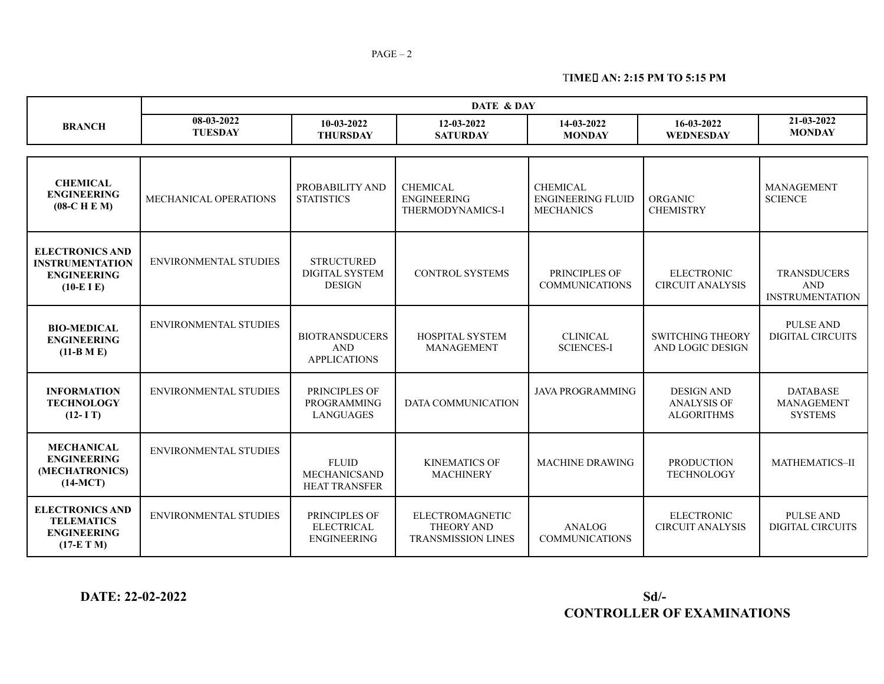T**IME AN: 2:15 PM TO 5:15 PM**

|                                                                                        | DATE & DAY                                                                                     |                                                             |                                                                   |                                                                 |                                                              |                                                            |
|----------------------------------------------------------------------------------------|------------------------------------------------------------------------------------------------|-------------------------------------------------------------|-------------------------------------------------------------------|-----------------------------------------------------------------|--------------------------------------------------------------|------------------------------------------------------------|
| <b>BRANCH</b>                                                                          | 08-03-2022<br>10-03-2022<br>12-03-2022<br><b>TUESDAY</b><br><b>THURSDAY</b><br><b>SATURDAY</b> |                                                             | 14-03-2022<br><b>MONDAY</b>                                       | 16-03-2022<br>WEDNESDAY                                         | 21-03-2022<br><b>MONDAY</b>                                  |                                                            |
|                                                                                        |                                                                                                |                                                             |                                                                   |                                                                 |                                                              |                                                            |
| <b>CHEMICAL</b><br><b>ENGINEERING</b><br>$(08-C H E M)$                                | MECHANICAL OPERATIONS                                                                          | PROBABILITY AND<br><b>STATISTICS</b>                        | <b>CHEMICAL</b><br><b>ENGINEERING</b><br>THERMODYNAMICS-I         | <b>CHEMICAL</b><br><b>ENGINEERING FLUID</b><br><b>MECHANICS</b> | ORGANIC<br><b>CHEMISTRY</b>                                  | <b>MANAGEMENT</b><br><b>SCIENCE</b>                        |
| <b>ELECTRONICS AND</b><br><b>INSTRUMENTATION</b><br><b>ENGINEERING</b><br>$(10-E I E)$ | <b>ENVIRONMENTAL STUDIES</b>                                                                   | <b>STRUCTURED</b><br><b>DIGITAL SYSTEM</b><br><b>DESIGN</b> | <b>CONTROL SYSTEMS</b>                                            | PRINCIPLES OF<br><b>COMMUNICATIONS</b>                          | <b>ELECTRONIC</b><br><b>CIRCUIT ANALYSIS</b>                 | <b>TRANSDUCERS</b><br><b>AND</b><br><b>INSTRUMENTATION</b> |
| <b>BIO-MEDICAL</b><br><b>ENGINEERING</b><br>$(11-B M E)$                               | <b>ENVIRONMENTAL STUDIES</b>                                                                   | <b>BIOTRANSDUCERS</b><br><b>AND</b><br><b>APPLICATIONS</b>  | <b>HOSPITAL SYSTEM</b><br><b>MANAGEMENT</b>                       | <b>CLINICAL</b><br><b>SCIENCES-I</b>                            | <b>SWITCHING THEORY</b><br>AND LOGIC DESIGN                  | <b>PULSE AND</b><br><b>DIGITAL CIRCUITS</b>                |
| <b>INFORMATION</b><br><b>TECHNOLOGY</b><br>$(12 - I T)$                                | <b>ENVIRONMENTAL STUDIES</b>                                                                   | PRINCIPLES OF<br>PROGRAMMING<br><b>LANGUAGES</b>            | <b>DATA COMMUNICATION</b>                                         | <b>JAVA PROGRAMMING</b>                                         | <b>DESIGN AND</b><br><b>ANALYSIS OF</b><br><b>ALGORITHMS</b> | <b>DATABASE</b><br>MANAGEMENT<br><b>SYSTEMS</b>            |
| <b>MECHANICAL</b><br><b>ENGINEERING</b><br>(MECHATRONICS)<br>$(14-MCT)$                | <b>ENVIRONMENTAL STUDIES</b>                                                                   | <b>FLUID</b><br><b>MECHANICSAND</b><br><b>HEAT TRANSFER</b> | <b>KINEMATICS OF</b><br><b>MACHINERY</b>                          | <b>MACHINE DRAWING</b>                                          | <b>PRODUCTION</b><br><b>TECHNOLOGY</b>                       | MATHEMATICS-II                                             |
| <b>ELECTRONICS AND</b><br><b>TELEMATICS</b><br><b>ENGINEERING</b><br>$(17-E T M)$      | <b>ENVIRONMENTAL STUDIES</b>                                                                   | PRINCIPLES OF<br><b>ELECTRICAL</b><br><b>ENGINEERING</b>    | ELECTROMAGNETIC<br><b>THEORY AND</b><br><b>TRANSMISSION LINES</b> | ANALOG<br><b>COMMUNICATIONS</b>                                 | <b>ELECTRONIC</b><br><b>CIRCUIT ANALYSIS</b>                 | <b>PULSE AND</b><br>DIGITAL CIRCUITS                       |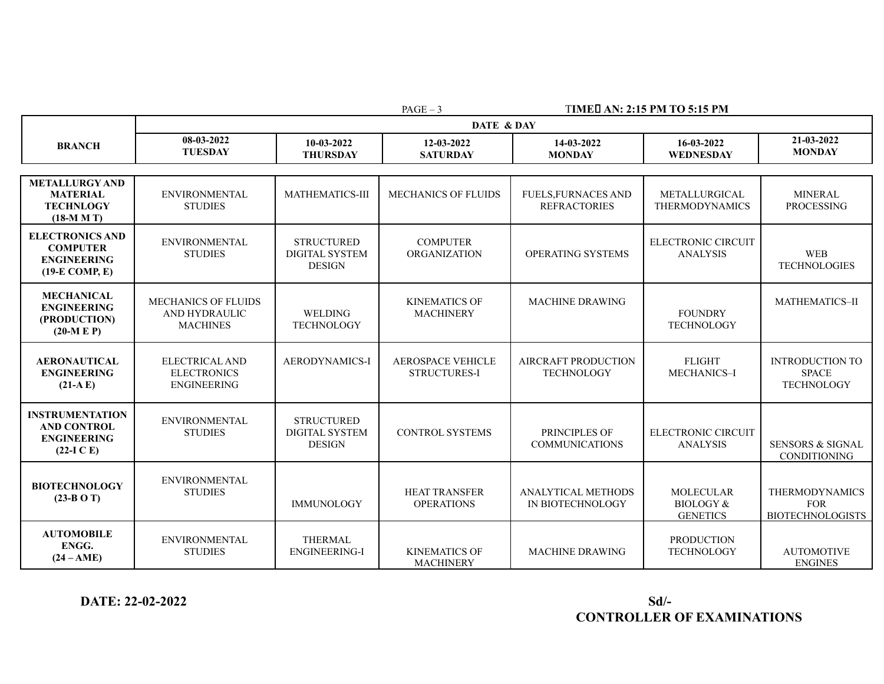PAGE – 3 T**IME AN: 2:15 PM TO 5:15 PM**

|                                                                                     | DATE & DAY                                                        |                                                             |                                                 |                                                   |                                                             |                                                                |  |
|-------------------------------------------------------------------------------------|-------------------------------------------------------------------|-------------------------------------------------------------|-------------------------------------------------|---------------------------------------------------|-------------------------------------------------------------|----------------------------------------------------------------|--|
| <b>BRANCH</b>                                                                       | 08-03-2022<br><b>TUESDAY</b>                                      | 10-03-2022<br><b>THURSDAY</b>                               | 12-03-2022<br><b>SATURDAY</b>                   |                                                   | 16-03-2022<br>WEDNESDAY                                     | 21-03-2022<br><b>MONDAY</b>                                    |  |
|                                                                                     |                                                                   |                                                             |                                                 |                                                   |                                                             |                                                                |  |
| <b>METALLURGY AND</b><br><b>MATERIAL</b><br><b>TECHNLOGY</b><br>$(18-M M T)$        | <b>ENVIRONMENTAL</b><br><b>STUDIES</b>                            | <b>MATHEMATICS-III</b>                                      | <b>MECHANICS OF FLUIDS</b>                      | <b>FUELS, FURNACES AND</b><br><b>REFRACTORIES</b> | METALLURGICAL<br><b>THERMODYNAMICS</b>                      | <b>MINERAL</b><br><b>PROCESSING</b>                            |  |
| <b>ELECTRONICS AND</b><br><b>COMPUTER</b><br><b>ENGINEERING</b><br>$(19-E COMP, E)$ | <b>ENVIRONMENTAL</b><br><b>STUDIES</b>                            | <b>STRUCTURED</b><br><b>DIGITAL SYSTEM</b><br><b>DESIGN</b> | <b>COMPUTER</b><br><b>ORGANIZATION</b>          | OPERATING SYSTEMS                                 | <b>ELECTRONIC CIRCUIT</b><br><b>ANALYSIS</b>                | <b>WEB</b><br><b>TECHNOLOGIES</b>                              |  |
| <b>MECHANICAL</b><br><b>ENGINEERING</b><br>(PRODUCTION)<br>$(20-M E P)$             | <b>MECHANICS OF FLUIDS</b><br>AND HYDRAULIC<br><b>MACHINES</b>    | <b>WELDING</b><br><b>TECHNOLOGY</b>                         | <b>KINEMATICS OF</b><br><b>MACHINERY</b>        | <b>MACHINE DRAWING</b>                            | <b>FOUNDRY</b><br><b>TECHNOLOGY</b>                         | <b>MATHEMATICS-II</b>                                          |  |
| <b>AERONAUTICAL</b><br><b>ENGINEERING</b><br>$(21-A E)$                             | <b>ELECTRICAL AND</b><br><b>ELECTRONICS</b><br><b>ENGINEERING</b> | AERODYNAMICS-I                                              | <b>AEROSPACE VEHICLE</b><br><b>STRUCTURES-I</b> | <b>AIRCRAFT PRODUCTION</b><br><b>TECHNOLOGY</b>   | <b>FLIGHT</b><br>MECHANICS-I                                | <b>INTRODUCTION TO</b><br><b>SPACE</b><br><b>TECHNOLOGY</b>    |  |
| <b>INSTRUMENTATION</b><br><b>AND CONTROL</b><br><b>ENGINEERING</b><br>$(22-I C E)$  | <b>ENVIRONMENTAL</b><br><b>STUDIES</b>                            | <b>STRUCTURED</b><br><b>DIGITAL SYSTEM</b><br><b>DESIGN</b> | <b>CONTROL SYSTEMS</b>                          | PRINCIPLES OF<br><b>COMMUNICATIONS</b>            | <b>ELECTRONIC CIRCUIT</b><br><b>ANALYSIS</b>                | <b>SENSORS &amp; SIGNAL</b><br><b>CONDITIONING</b>             |  |
| <b>BIOTECHNOLOGY</b><br>$(23-B O T)$                                                | ENVIRONMENTAL<br><b>STUDIES</b>                                   | <b>IMMUNOLOGY</b>                                           | <b>HEAT TRANSFER</b><br><b>OPERATIONS</b>       | <b>ANALYTICAL METHODS</b><br>IN BIOTECHNOLOGY     | <b>MOLECULAR</b><br><b>BIOLOGY &amp;</b><br><b>GENETICS</b> | <b>THERMODYNAMICS</b><br><b>FOR</b><br><b>BIOTECHNOLOGISTS</b> |  |
| <b>AUTOMOBILE</b><br>ENGG.<br>$(24 - AME)$                                          | <b>ENVIRONMENTAL</b><br><b>STUDIES</b>                            | <b>THERMAL</b><br><b>ENGINEERING-I</b>                      | <b>KINEMATICS OF</b><br><b>MACHINERY</b>        | <b>MACHINE DRAWING</b>                            | <b>PRODUCTION</b><br><b>TECHNOLOGY</b>                      | <b>AUTOMOTIVE</b><br><b>ENGINES</b>                            |  |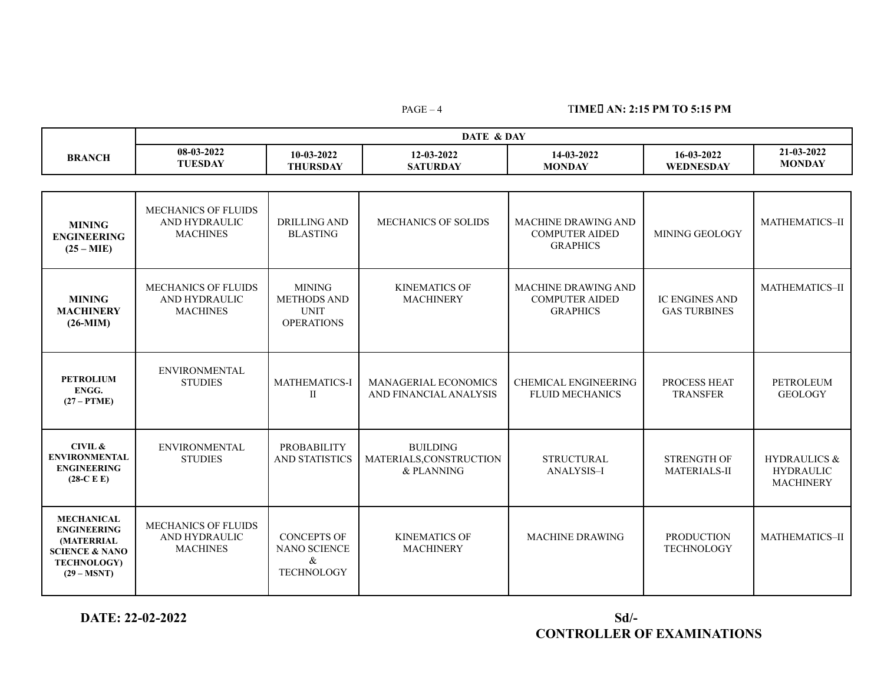## PAGE – 4 T**IME AN: 2:15 PM TO 5:15 PM**

|               | DATE & DAY     |              |                 |               |            |               |  |
|---------------|----------------|--------------|-----------------|---------------|------------|---------------|--|
| <b>BRANCH</b> | 08-03-2022     | $10-03-2022$ | 12-03-2022      | 14-03-2022    | 16-03-2022 | 21-03-2022    |  |
|               | <b>TUESDAY</b> | THURSDAY     | <b>SATURDAY</b> | <b>MONDAY</b> | WEDNESDAY  | <b>MONDAY</b> |  |

| <b>MINING</b><br><b>ENGINEERING</b><br>$(25 - MIE)$                                                                       | MECHANICS OF FLUIDS<br>AND HYDRAULIC<br><b>MACHINES</b>        | <b>DRILLING AND</b><br><b>BLASTING</b>                                  | <b>MECHANICS OF SOLIDS</b>                               | <b>MACHINE DRAWING AND</b><br><b>COMPUTER AIDED</b><br><b>GRAPHICS</b> | MINING GEOLOGY                               | MATHEMATICS-II                                                  |
|---------------------------------------------------------------------------------------------------------------------------|----------------------------------------------------------------|-------------------------------------------------------------------------|----------------------------------------------------------|------------------------------------------------------------------------|----------------------------------------------|-----------------------------------------------------------------|
| <b>MINING</b><br><b>MACHINERY</b><br>$(26-MIM)$                                                                           | <b>MECHANICS OF FLUIDS</b><br>AND HYDRAULIC<br><b>MACHINES</b> | <b>MINING</b><br><b>METHODS AND</b><br><b>UNIT</b><br><b>OPERATIONS</b> | <b>KINEMATICS OF</b><br><b>MACHINERY</b>                 | <b>MACHINE DRAWING AND</b><br><b>COMPUTER AIDED</b><br><b>GRAPHICS</b> | <b>IC ENGINES AND</b><br><b>GAS TURBINES</b> | <b>MATHEMATICS-II</b>                                           |
| <b>PETROLIUM</b><br>ENGG.<br>$(27 - PTME)$                                                                                | <b>ENVIRONMENTAL</b><br><b>STUDIES</b>                         | <b>MATHEMATICS-I</b><br>П                                               | <b>MANAGERIAL ECONOMICS</b><br>AND FINANCIAL ANALYSIS    | <b>CHEMICAL ENGINEERING</b><br><b>FLUID MECHANICS</b>                  | PROCESS HEAT<br><b>TRANSFER</b>              | <b>PETROLEUM</b><br><b>GEOLOGY</b>                              |
| CIVIL &<br><b>ENVIRONMENTAL</b><br><b>ENGINEERING</b><br>$(28-C E)$                                                       | <b>ENVIRONMENTAL</b><br><b>STUDIES</b>                         | <b>PROBABILITY</b><br><b>AND STATISTICS</b>                             | <b>BUILDING</b><br>MATERIALS, CONSTRUCTION<br>& PLANNING | <b>STRUCTURAL</b><br>ANALYSIS-I                                        | <b>STRENGTH OF</b><br><b>MATERIALS-II</b>    | <b>HYDRAULICS &amp;</b><br><b>HYDRAULIC</b><br><b>MACHINERY</b> |
| <b>MECHANICAL</b><br><b>ENGINEERING</b><br>(MATERRIAL<br><b>SCIENCE &amp; NANO</b><br><b>TECHNOLOGY)</b><br>$(29 - MSNT)$ | <b>MECHANICS OF FLUIDS</b><br>AND HYDRAULIC<br><b>MACHINES</b> | <b>CONCEPTS OF</b><br><b>NANO SCIENCE</b><br>&<br><b>TECHNOLOGY</b>     | <b>KINEMATICS OF</b><br><b>MACHINERY</b>                 | <b>MACHINE DRAWING</b>                                                 | <b>PRODUCTION</b><br><b>TECHNOLOGY</b>       | MATHEMATICS-II                                                  |